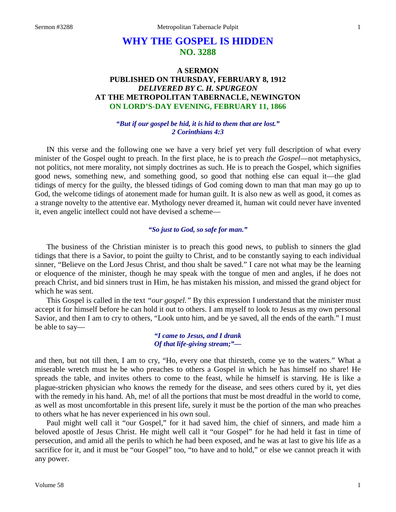# **WHY THE GOSPEL IS HIDDEN NO. 3288**

## **A SERMON PUBLISHED ON THURSDAY, FEBRUARY 8, 1912** *DELIVERED BY C. H. SPURGEON* **AT THE METROPOLITAN TABERNACLE, NEWINGTON ON LORD'S-DAY EVENING, FEBRUARY 11, 1866**

### *"But if our gospel be hid, it is hid to them that are lost." 2 Corinthians 4:3*

IN this verse and the following one we have a very brief yet very full description of what every minister of the Gospel ought to preach. In the first place, he is to preach *the Gospel*—not metaphysics, not politics, not mere morality, not simply doctrines as such. He is to preach the Gospel, which signifies good news, something new, and something good, so good that nothing else can equal it—the glad tidings of mercy for the guilty, the blessed tidings of God coming down to man that man may go up to God, the welcome tidings of atonement made for human guilt. It is also new as well as good, it comes as a strange novelty to the attentive ear. Mythology never dreamed it, human wit could never have invented it, even angelic intellect could not have devised a scheme—

## *"So just to God, so safe for man."*

The business of the Christian minister is to preach this good news, to publish to sinners the glad tidings that there is a Savior, to point the guilty to Christ, and to be constantly saying to each individual sinner, "Believe on the Lord Jesus Christ, and thou shalt be saved." I care not what may be the learning or eloquence of the minister, though he may speak with the tongue of men and angles, if he does not preach Christ, and bid sinners trust in Him, he has mistaken his mission, and missed the grand object for which he was sent.

This Gospel is called in the text *"our gospel."* By this expression I understand that the minister must accept it for himself before he can hold it out to others. I am myself to look to Jesus as my own personal Savior, and then I am to cry to others, "Look unto him, and be ye saved, all the ends of the earth." I must be able to say—

> *"I came to Jesus, and I drank Of that life-giving stream;"—*

and then, but not till then, I am to cry, "Ho, every one that thirsteth, come ye to the waters." What a miserable wretch must he be who preaches to others a Gospel in which he has himself no share! He spreads the table, and invites others to come to the feast, while he himself is starving. He is like a plague-stricken physician who knows the remedy for the disease, and sees others cured by it, yet dies with the remedy in his hand. Ah, me! of all the portions that must be most dreadful in the world to come, as well as most uncomfortable in this present life, surely it must be the portion of the man who preaches to others what he has never experienced in his own soul.

Paul might well call it "our Gospel," for it had saved him, the chief of sinners, and made him a beloved apostle of Jesus Christ. He might well call it "our Gospel" for he had held it fast in time of persecution, and amid all the perils to which he had been exposed, and he was at last to give his life as a sacrifice for it, and it must be "our Gospel" too, "to have and to hold," or else we cannot preach it with any power.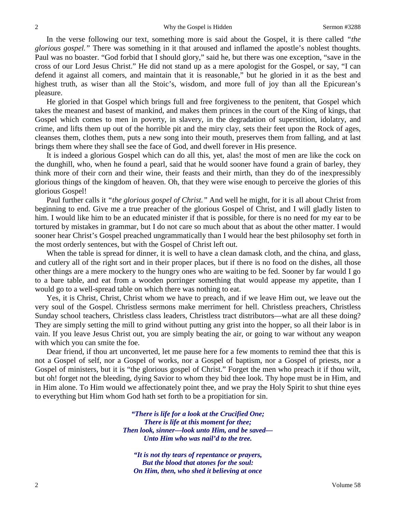In the verse following our text, something more is said about the Gospel, it is there called *"the glorious gospel."* There was something in it that aroused and inflamed the apostle's noblest thoughts. Paul was no boaster. "God forbid that I should glory," said he, but there was one exception, "save in the cross of our Lord Jesus Christ." He did not stand up as a mere apologist for the Gospel, or say, "I can defend it against all comers, and maintain that it is reasonable," but he gloried in it as the best and highest truth, as wiser than all the Stoic's, wisdom, and more full of joy than all the Epicurean's pleasure.

He gloried in that Gospel which brings full and free forgiveness to the penitent, that Gospel which takes the meanest and basest of mankind, and makes them princes in the court of the King of kings, that Gospel which comes to men in poverty, in slavery, in the degradation of superstition, idolatry, and crime, and lifts them up out of the horrible pit and the miry clay, sets their feet upon the Rock of ages, cleanses them, clothes them, puts a new song into their mouth, preserves them from falling, and at last brings them where they shall see the face of God, and dwell forever in His presence.

It is indeed a glorious Gospel which can do all this, yet, alas! the most of men are like the cock on the dunghill, who, when he found a pearl, said that he would sooner have found a grain of barley, they think more of their corn and their wine, their feasts and their mirth, than they do of the inexpressibly glorious things of the kingdom of heaven. Oh, that they were wise enough to perceive the glories of this glorious Gospel!

Paul further calls it *"the glorious gospel of Christ."* And well he might, for it is all about Christ from beginning to end. Give me a true preacher of the glorious Gospel of Christ, and I will gladly listen to him. I would like him to be an educated minister if that is possible, for there is no need for my ear to be tortured by mistakes in grammar, but I do not care so much about that as about the other matter. I would sooner hear Christ's Gospel preached ungrammatically than I would hear the best philosophy set forth in the most orderly sentences, but with the Gospel of Christ left out.

When the table is spread for dinner, it is well to have a clean damask cloth, and the china, and glass, and cutlery all of the right sort and in their proper places, but if there is no food on the dishes, all those other things are a mere mockery to the hungry ones who are waiting to be fed. Sooner by far would I go to a bare table, and eat from a wooden porringer something that would appease my appetite, than I would go to a well-spread table on which there was nothing to eat.

Yes, it is Christ, Christ, Christ whom we have to preach, and if we leave Him out, we leave out the very soul of the Gospel. Christless sermons make merriment for hell. Christless preachers, Christless Sunday school teachers, Christless class leaders, Christless tract distributors—what are all these doing? They are simply setting the mill to grind without putting any grist into the hopper, so all their labor is in vain. If you leave Jesus Christ out, you are simply beating the air, or going to war without any weapon with which you can smite the foe.

Dear friend, if thou art unconverted, let me pause here for a few moments to remind thee that this is not a Gospel of self, nor a Gospel of works, nor a Gospel of baptism, nor a Gospel of priests, nor a Gospel of ministers, but it is "the glorious gospel of Christ." Forget the men who preach it if thou wilt, but oh! forget not the bleeding, dying Savior to whom they bid thee look. Thy hope must be in Him, and in Him alone. To Him would we affectionately point thee, and we pray the Holy Spirit to shut thine eyes to everything but Him whom God hath set forth to be a propitiation for sin.

> *"There is life for a look at the Crucified One; There is life at this moment for thee; Then look, sinner—look unto Him, and be saved— Unto Him who was nail'd to the tree.*

*"It is not thy tears of repentance or prayers, But the blood that atones for the soul: On Him, then, who shed it believing at once*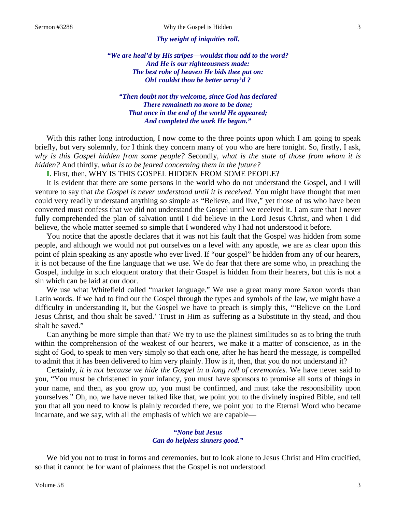#### *Thy weight of iniquities roll.*

*"We are heal'd by His stripes—wouldst thou add to the word? And He is our righteousness made: The best robe of heaven He bids thee put on: Oh! couldst thou be better array'd ?*

*"Then doubt not thy welcome, since God has declared There remaineth no more to be done; That once in the end of the world He appeared; And completed the work He begun."*

With this rather long introduction, I now come to the three points upon which I am going to speak briefly, but very solemnly, for I think they concern many of you who are here tonight. So, firstly, I ask, *why is this Gospel hidden from some people?* Secondly, *what is the state of those from whom it is hidden?* And thirdly, *what is to be feared concerning them in the future?*

**I.** First, then, WHY IS THIS GOSPEL HIDDEN FROM SOME PEOPLE?

It is evident that there are some persons in the world who do not understand the Gospel, and I will venture to say that *the Gospel is never understood until it is received*. You might have thought that men could very readily understand anything so simple as "Believe, and live," yet those of us who have been converted must confess that we did not understand the Gospel until we received it. I am sure that I never fully comprehended the plan of salvation until I did believe in the Lord Jesus Christ, and when I did believe, the whole matter seemed so simple that I wondered why I had not understood it before.

You notice that the apostle declares that it was not his fault that the Gospel was hidden from some people, and although we would not put ourselves on a level with any apostle, we are as clear upon this point of plain speaking as any apostle who ever lived. If "our gospel" be hidden from any of our hearers, it is not because of the fine language that we use. We do fear that there are some who, in preaching the Gospel, indulge in such eloquent oratory that their Gospel is hidden from their hearers, but this is not a sin which can be laid at our door.

We use what Whitefield called "market language." We use a great many more Saxon words than Latin words. If we had to find out the Gospel through the types and symbols of the law, we might have a difficulty in understanding it, but the Gospel we have to preach is simply this, '"Believe on the Lord Jesus Christ, and thou shalt be saved.' Trust in Him as suffering as a Substitute in thy stead, and thou shalt be saved."

Can anything be more simple than that? We try to use the plainest similitudes so as to bring the truth within the comprehension of the weakest of our hearers, we make it a matter of conscience, as in the sight of God, to speak to men very simply so that each one, after he has heard the message, is compelled to admit that it has been delivered to him very plainly. How is it, then, that you do not understand it?

Certainly, *it is not because we hide the Gospel in a long roll of ceremonies.* We have never said to you, "You must be christened in your infancy, you must have sponsors to promise all sorts of things in your name, and then, as you grow up, you must be confirmed, and must take the responsibility upon yourselves." Oh, no, we have never talked like that, we point you to the divinely inspired Bible, and tell you that all you need to know is plainly recorded there, we point you to the Eternal Word who became incarnate, and we say, with all the emphasis of which we are capable—

### *"None but Jesus Can do helpless sinners good."*

We bid you not to trust in forms and ceremonies, but to look alone to Jesus Christ and Him crucified, so that it cannot be for want of plainness that the Gospel is not understood.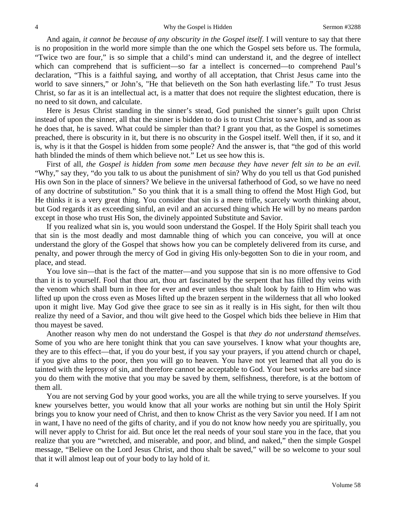And again, *it cannot be because of any obscurity in the Gospel itself*. I will venture to say that there is no proposition in the world more simple than the one which the Gospel sets before us. The formula, "Twice two are four," is so simple that a child's mind can understand it, and the degree of intellect which can comprehend that is sufficient—so far a intellect is concerned—to comprehend Paul's declaration, "This is a faithful saying, and worthy of all acceptation, that Christ Jesus came into the world to save sinners," or John's, "He that believeth on the Son hath everlasting life." To trust Jesus Christ, so far as it is an intellectual act, is a matter that does not require the slightest education, there is no need to sit down, and calculate.

Here is Jesus Christ standing in the sinner's stead, God punished the sinner's guilt upon Christ instead of upon the sinner, all that the sinner is bidden to do is to trust Christ to save him, and as soon as he does that, he is saved. What could be simpler than that? I grant you that, as the Gospel is sometimes preached, there is obscurity in it, but there is no obscurity in the Gospel itself. Well then, if it so, and it is, why is it that the Gospel is hidden from some people? And the answer is, that "the god of this world hath blinded the minds of them which believe not." Let us see how this is.

First of all, *the Gospel is hidden from some men because they have never felt sin to be an evil.* "Why," say they, "do you talk to us about the punishment of sin? Why do you tell us that God punished His own Son in the place of sinners? We believe in the universal fatherhood of God, so we have no need of any doctrine of substitution." So you think that it is a small thing to offend the Most High God, but He thinks it is a very great thing. You consider that sin is a mere trifle, scarcely worth thinking about, but God regards it as exceeding sinful, an evil and an accursed thing which He will by no means pardon except in those who trust His Son, the divinely appointed Substitute and Savior.

If you realized what sin is, you would soon understand the Gospel. If the Holy Spirit shall teach you that sin is the most deadly and most damnable thing of which you can conceive, you will at once understand the glory of the Gospel that shows how you can be completely delivered from its curse, and penalty, and power through the mercy of God in giving His only-begotten Son to die in your room, and place, and stead.

You love sin—that is the fact of the matter—and you suppose that sin is no more offensive to God than it is to yourself. Fool that thou art, thou art fascinated by the serpent that has filled thy veins with the venom which shall burn in thee for ever and ever unless thou shalt look by faith to Him who was lifted up upon the cross even as Moses lifted up the brazen serpent in the wilderness that all who looked upon it might live. May God give thee grace to see sin as it really is in His sight, for then wilt thou realize thy need of a Savior, and thou wilt give heed to the Gospel which bids thee believe in Him that thou mayest be saved.

Another reason why men do not understand the Gospel is that *they do not understand themselves*. Some of you who are here tonight think that you can save yourselves. I know what your thoughts are, they are to this effect—that, if you do your best, if you say your prayers, if you attend church or chapel, if you give alms to the poor, then you will go to heaven. You have not yet learned that all you do is tainted with the leprosy of sin, and therefore cannot be acceptable to God. Your best works are bad since you do them with the motive that you may be saved by them, selfishness, therefore, is at the bottom of them all.

You are not serving God by your good works, you are all the while trying to serve yourselves. If you knew yourselves better, you would know that all your works are nothing but sin until the Holy Spirit brings you to know your need of Christ, and then to know Christ as the very Savior you need. If I am not in want, I have no need of the gifts of charity, and if you do not know how needy you are spiritually, you will never apply to Christ for aid. But once let the real needs of your soul stare you in the face, that you realize that you are "wretched, and miserable, and poor, and blind, and naked," then the simple Gospel message, "Believe on the Lord Jesus Christ, and thou shalt be saved," will be so welcome to your soul that it will almost leap out of your body to lay hold of it.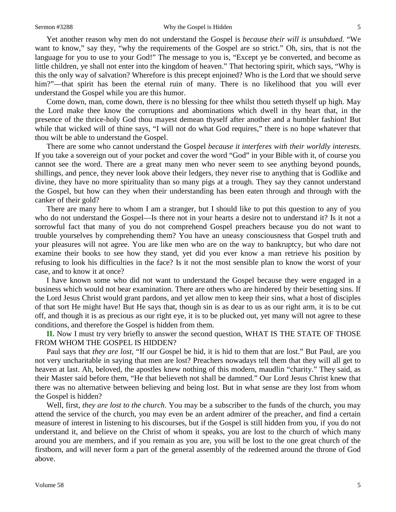#### Sermon #3288 Why the Gospel is Hidden 5

Yet another reason why men do not understand the Gospel is *because their will is unsubdued*. "We want to know," say they, "why the requirements of the Gospel are so strict." Oh, sirs, that is not the language for you to use to your God!" The message to you is, "Except ye be converted, and become as little children, ye shall not enter into the kingdom of heaven." That hectoring spirit, which says, "Why is this the only way of salvation? Wherefore is this precept enjoined? Who is the Lord that we should serve him?"—that spirit has been the eternal ruin of many. There is no likelihood that you will ever understand the Gospel while you are this humor.

Come down, man, come down, there is no blessing for thee whilst thou setteth thyself up high. May the Lord make thee know the corruptions and abominations which dwell in thy heart that, in the presence of the thrice-holy God thou mayest demean thyself after another and a humbler fashion! But while that wicked will of thine says, "I will not do what God requires," there is no hope whatever that thou wilt be able to understand the Gospel.

There are some who cannot understand the Gospel *because it interferes with their worldly interests*. If you take a sovereign out of your pocket and cover the word "God" in your Bible with it, of course you cannot see the word. There are a great many men who never seem to see anything beyond pounds, shillings, and pence, they never look above their ledgers, they never rise to anything that is Godlike and divine, they have no more spirituality than so many pigs at a trough. They say they cannot understand the Gospel, but how can they when their understanding has been eaten through and through with the canker of their gold?

There are many here to whom I am a stranger, but I should like to put this question to any of you who do not understand the Gospel—Is there not in your hearts a desire not to understand it? Is it not a sorrowful fact that many of you do not comprehend Gospel preachers because you do not want to trouble yourselves by comprehending them? You have an uneasy consciousness that Gospel truth and your pleasures will not agree. You are like men who are on the way to bankruptcy, but who dare not examine their books to see how they stand, yet did you ever know a man retrieve his position by refusing to look his difficulties in the face? Is it not the most sensible plan to know the worst of your case, and to know it at once?

I have known some who did not want to understand the Gospel because they were engaged in a business which would not bear examination. There are others who are hindered by their besetting sins. If the Lord Jesus Christ would grant pardons, and yet allow men to keep their sins, what a host of disciples of that sort He might have! But He says that, though sin is as dear to us as our right arm, it is to be cut off, and though it is as precious as our right eye, it is to be plucked out, yet many will not agree to these conditions, and therefore the Gospel is hidden from them.

**II.** Now I must try very briefly to answer the second question, WHAT IS THE STATE OF THOSE FROM WHOM THE GOSPEL IS HIDDEN?

Paul says that *they are lost,* "If our Gospel be hid, it is hid to them that are lost." But Paul, are you not very uncharitable in saying that men are lost? Preachers nowadays tell them that they will all get to heaven at last. Ah, beloved, the apostles knew nothing of this modern, maudlin "charity." They said, as their Master said before them, "He that believeth not shall be damned." Our Lord Jesus Christ knew that there was no alternative between believing and being lost. But in what sense are they lost from whom the Gospel is hidden?

Well, first, *they are lost to the church*. You may be a subscriber to the funds of the church, you may attend the service of the church, you may even be an ardent admirer of the preacher, and find a certain measure of interest in listening to his discourses, but if the Gospel is still hidden from you, if you do not understand it, and believe on the Christ of whom it speaks, you are lost to the church of which many around you are members, and if you remain as you are, you will be lost to the one great church of the firstborn, and will never form a part of the general assembly of the redeemed around the throne of God above.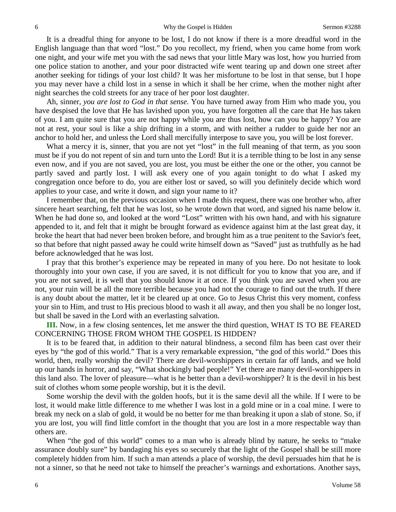It is a dreadful thing for anyone to be lost, I do not know if there is a more dreadful word in the English language than that word "lost." Do you recollect, my friend, when you came home from work one night, and your wife met you with the sad news that your little Mary was lost, how you hurried from one police station to another, and your poor distracted wife went tearing up and down one street after another seeking for tidings of your lost child? It was her misfortune to be lost in that sense, but I hope you may never have a child lost in a sense in which it shall be her crime, when the mother night after night searches the cold streets for any trace of her poor lost daughter.

Ah, sinner, *you are lost to God in that sense*. You have turned away from Him who made you, you have despised the love that He has lavished upon you, you have forgotten all the care that He has taken of you. I am quite sure that you are not happy while you are thus lost, how can you be happy? You are not at rest, your soul is like a ship drifting in a storm, and with neither a rudder to guide her nor an anchor to hold her, and unless the Lord shall mercifully interpose to save you, you will be lost forever.

What a mercy it is, sinner, that you are not yet "lost" in the full meaning of that term, as you soon must be if you do not repent of sin and turn unto the Lord! But it is a terrible thing to be lost in any sense even now, and if you are not saved, you are lost, you must be either the one or the other, you cannot be partly saved and partly lost. I will ask every one of you again tonight to do what I asked my congregation once before to do, you are either lost or saved, so will you definitely decide which word applies to your case, and write it down, and sign your name to it?

I remember that, on the previous occasion when I made this request, there was one brother who, after sincere heart searching, felt that he was lost, so he wrote down that word, and signed his name below it. When he had done so, and looked at the word "Lost" written with his own hand, and with his signature appended to it, and felt that it might be brought forward as evidence against him at the last great day, it broke the heart that had never been broken before, and brought him as a true penitent to the Savior's feet, so that before that night passed away he could write himself down as "Saved" just as truthfully as he had before acknowledged that he was lost.

I pray that this brother's experience may be repeated in many of you here. Do not hesitate to look thoroughly into your own case, if you are saved, it is not difficult for you to know that you are, and if you are not saved, it is well that you should know it at once. If you think you are saved when you are not, your ruin will be all the more terrible because you had not the courage to find out the truth. If there is any doubt about the matter, let it be cleared up at once. Go to Jesus Christ this very moment, confess your sin to Him, and trust to His precious blood to wash it all away, and then you shall be no longer lost, but shall be saved in the Lord with an everlasting salvation.

**III.** Now, in a few closing sentences, let me answer the third question, WHAT IS TO BE FEARED CONCERNING THOSE FROM WHOM THE GOSPEL IS HIDDEN?

It is to be feared that, in addition to their natural blindness, a second film has been cast over their eyes by "the god of this world." That is a very remarkable expression, "the god of this world." Does this world, then, really worship the devil? There are devil-worshippers in certain far off lands, and we hold up our hands in horror, and say, "What shockingly bad people!" Yet there are many devil-worshippers in this land also. The lover of pleasure—what is he better than a devil-worshipper? It is the devil in his best suit of clothes whom some people worship, but it is the devil.

Some worship the devil with the golden hoofs, but it is the same devil all the while. If I were to be lost, it would make little difference to me whether I was lost in a gold mine or in a coal mine. I were to break my neck on a slab of gold, it would be no better for me than breaking it upon a slab of stone. So, if you are lost, you will find little comfort in the thought that you are lost in a more respectable way than others are.

When "the god of this world" comes to a man who is already blind by nature, he seeks to "make assurance doubly sure" by bandaging his eyes so securely that the light of the Gospel shall be still more completely hidden from him. If such a man attends a place of worship, the devil persuades him that he is not a sinner, so that he need not take to himself the preacher's warnings and exhortations. Another says,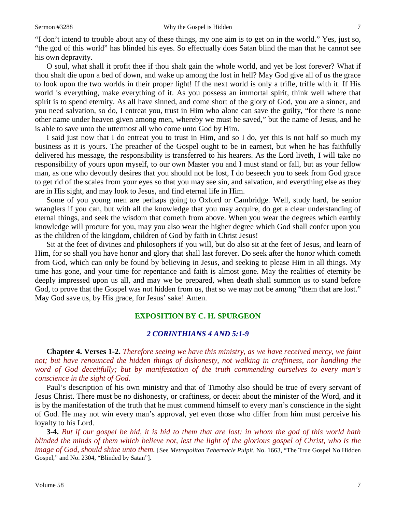"I don't intend to trouble about any of these things, my one aim is to get on in the world." Yes, just so, "the god of this world" has blinded his eyes. So effectually does Satan blind the man that he cannot see his own depravity.

O soul, what shall it profit thee if thou shalt gain the whole world, and yet be lost forever? What if thou shalt die upon a bed of down, and wake up among the lost in hell? May God give all of us the grace to look upon the two worlds in their proper light! If the next world is only a trifle, trifle with it. If His world is everything, make everything of it. As you possess an immortal spirit, think well where that spirit is to spend eternity. As all have sinned, and come short of the glory of God, you are a sinner, and you need salvation, so do, I entreat you, trust in Him who alone can save the guilty, "for there is none other name under heaven given among men, whereby we must be saved," but the name of Jesus, and he is able to save unto the uttermost all who come unto God by Him.

I said just now that I do entreat you to trust in Him, and so I do, yet this is not half so much my business as it is yours. The preacher of the Gospel ought to be in earnest, but when he has faithfully delivered his message, the responsibility is transferred to his hearers. As the Lord liveth, I will take no responsibility of yours upon myself, to our own Master you and I must stand or fall, but as your fellow man, as one who devoutly desires that you should not be lost, I do beseech you to seek from God grace to get rid of the scales from your eyes so that you may see sin, and salvation, and everything else as they are in His sight, and may look to Jesus, and find eternal life in Him.

Some of you young men are perhaps going to Oxford or Cambridge. Well, study hard, be senior wranglers if you can, but with all the knowledge that you may acquire, do get a clear understanding of eternal things, and seek the wisdom that cometh from above. When you wear the degrees which earthly knowledge will procure for you, may you also wear the higher degree which God shall confer upon you as the children of the kingdom, children of God by faith in Christ Jesus!

Sit at the feet of divines and philosophers if you will, but do also sit at the feet of Jesus, and learn of Him, for so shall you have honor and glory that shall last forever. Do seek after the honor which cometh from God, which can only be found by believing in Jesus, and seeking to please Him in all things. My time has gone, and your time for repentance and faith is almost gone. May the realities of eternity be deeply impressed upon us all, and may we be prepared, when death shall summon us to stand before God, to prove that the Gospel was not hidden from us, that so we may not be among "them that are lost." May God save us, by His grace, for Jesus' sake! Amen.

## **EXPOSITION BY C. H. SPURGEON**

## *2 CORINTHIANS 4 AND 5:1-9*

**Chapter 4. Verses 1-2.** *Therefore seeing we have this ministry, as we have received mercy, we faint*  not; but have renounced the hidden things of dishonesty, not walking in craftiness, nor handling the *word of God deceitfully; but by manifestation of the truth commending ourselves to every man's conscience in the sight of God.*

Paul's description of his own ministry and that of Timothy also should be true of every servant of Jesus Christ. There must be no dishonesty, or craftiness, or deceit about the minister of the Word, and it is by the manifestation of the truth that he must commend himself to every man's conscience in the sight of God. He may not win every man's approval, yet even those who differ from him must perceive his loyalty to his Lord.

**3-4.** *But if our gospel be hid, it is hid to them that are lost: in whom the god of this world hath blinded the minds of them which believe not, lest the light of the glorious gospel of Christ, who is the image of God, should shine unto them.* [See *Metropolitan Tabernacle Pulpit,* No. 1663, "The True Gospel No Hidden Gospel," and No. 2304, "Blinded by Satan"].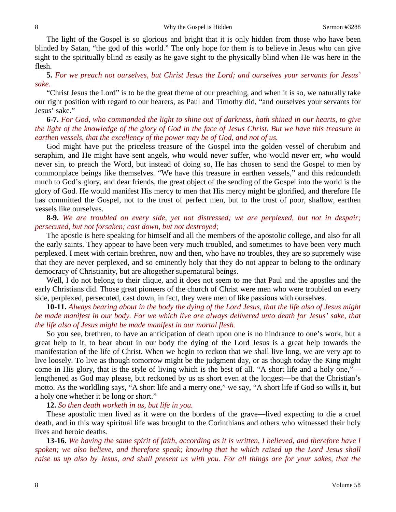The light of the Gospel is so glorious and bright that it is only hidden from those who have been blinded by Satan, "the god of this world." The only hope for them is to believe in Jesus who can give sight to the spiritually blind as easily as he gave sight to the physically blind when He was here in the flesh.

**5.** *For we preach not ourselves, but Christ Jesus the Lord; and ourselves your servants for Jesus' sake.*

"Christ Jesus the Lord" is to be the great theme of our preaching, and when it is so, we naturally take our right position with regard to our hearers, as Paul and Timothy did, "and ourselves your servants for Jesus' sake."

**6-7.** *For God, who commanded the light to shine out of darkness, hath shined in our hearts, to give the light of the knowledge of the glory of God in the face of Jesus Christ. But we have this treasure in earthen vessels, that the excellency of the power may be of God, and not of us.*

God might have put the priceless treasure of the Gospel into the golden vessel of cherubim and seraphim, and He might have sent angels, who would never suffer, who would never err, who would never sin, to preach the Word, but instead of doing so, He has chosen to send the Gospel to men by commonplace beings like themselves. "We have this treasure in earthen vessels," and this redoundeth much to God's glory, and dear friends, the great object of the sending of the Gospel into the world is the glory of God. He would manifest His mercy to men that His mercy might be glorified, and therefore He has committed the Gospel, not to the trust of perfect men, but to the trust of poor, shallow, earthen vessels like ourselves.

**8-9.** *We are troubled on every side, yet not distressed; we are perplexed, but not in despair; persecuted, but not forsaken; cast down, but not destroyed;*

The apostle is here speaking for himself and all the members of the apostolic college, and also for all the early saints. They appear to have been very much troubled, and sometimes to have been very much perplexed. I meet with certain brethren, now and then, who have no troubles, they are so supremely wise that they are never perplexed, and so eminently holy that they do not appear to belong to the ordinary democracy of Christianity, but are altogether supernatural beings.

Well, I do not belong to their clique, and it does not seem to me that Paul and the apostles and the early Christians did. Those great pioneers of the church of Christ were men who were troubled on every side, perplexed, persecuted, cast down, in fact, they were men of like passions with ourselves.

**10-11.** *Always bearing about in the body the dying of the Lord Jesus, that the life also of Jesus might be made manifest in our body. For we which live are always delivered unto death for Jesus' sake, that the life also of Jesus might be made manifest in our mortal flesh.*

So you see, brethren, to have an anticipation of death upon one is no hindrance to one's work, but a great help to it, to bear about in our body the dying of the Lord Jesus is a great help towards the manifestation of the life of Christ. When we begin to reckon that we shall live long, we are very apt to live loosely. To live as though tomorrow might be the judgment day, or as though today the King might come in His glory, that is the style of living which is the best of all. "A short life and a holy one," lengthened as God may please, but reckoned by us as short even at the longest—be that the Christian's motto. As the worldling says, "A short life and a merry one," we say, "A short life if God so wills it, but a holy one whether it be long or short."

**12.** *So then death worketh in us, but life in you.*

These apostolic men lived as it were on the borders of the grave—lived expecting to die a cruel death, and in this way spiritual life was brought to the Corinthians and others who witnessed their holy lives and heroic deaths.

**13-16.** *We having the same spirit of faith, according as it is written, I believed, and therefore have I spoken; we also believe, and therefore speak; knowing that he which raised up the Lord Jesus shall raise us up also by Jesus, and shall present us with you. For all things are for your sakes, that the*